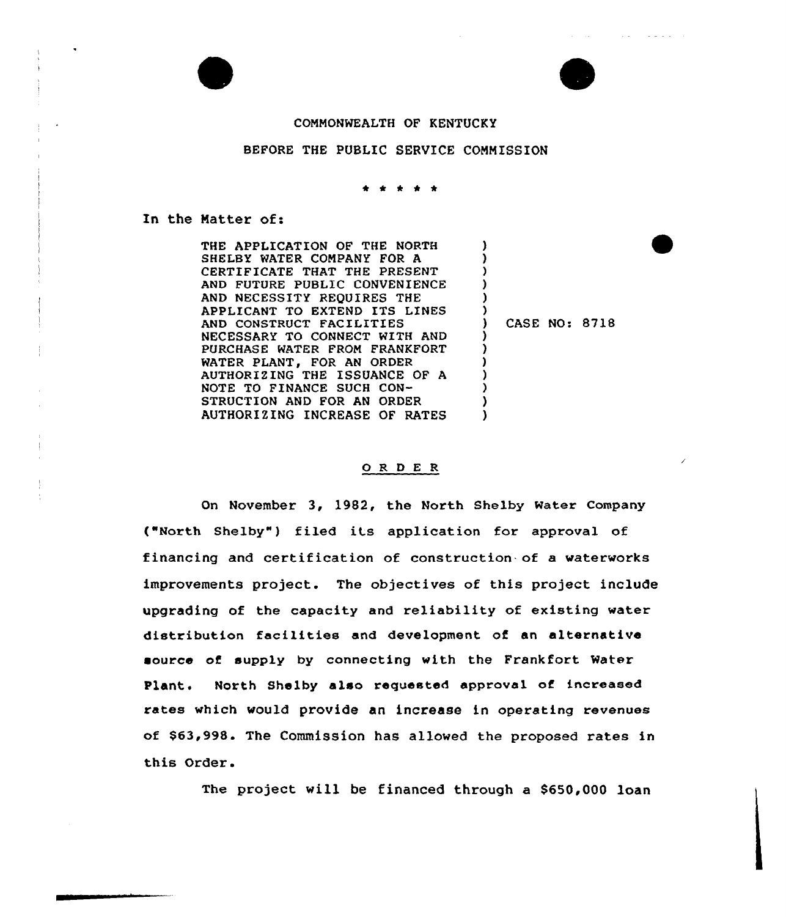



 $\mathcal{A}(\mathcal{A})$  . In the following  $\mathcal{A}(\mathcal{A})$ 

### COMMONWEALTH OF KENTUCKY

#### BEFORE THE PUBLIC SERVICE COMMISSION

In the Matter of:

THE APPLICATION OF THE NORTH SHELBY WATER COMPANY FOR A CERTIFICATE THAT THE PRESENT AND FUTURE PUBLIC CONVENIENCE AND NECESSITY REQUIRES THE APPLICANT TO EXTEND ITS LINES AND CONSTRUCT FACILITIES NECESSARY TO CONNECT WITH AND PURCHASE WATER FROM FRANKFORT WATER PLANT, FOR AN ORDER AUTHORIZING THE ISSUANCE OF A NOTE TO FINANCE SUCH CON-STRUCTION AND FOR AN ORDER AUTHORIZING INCREASE OF RATES ) ) ) ) ) ) ) CASE NO: 8718 ) ) ) ) ) ) )

#### O R D E R

On November 3, 1982, the North Shelby Water Company ("North Shelby") filed its application for approval of financing and certification of construction of a waterworks improvements project. The objectives of this project include upgrading of the capacity and reliability of existing water distribution facilities and development of an alternative source of supply by connecting with the Frankfort Water Plant. North Shelby also requested approval of increased rates which would provide an increase in operating revenues of \$63,998. The Commission has allowed the proposed rates in this Order.

The project will be financed through a \$650,000 loan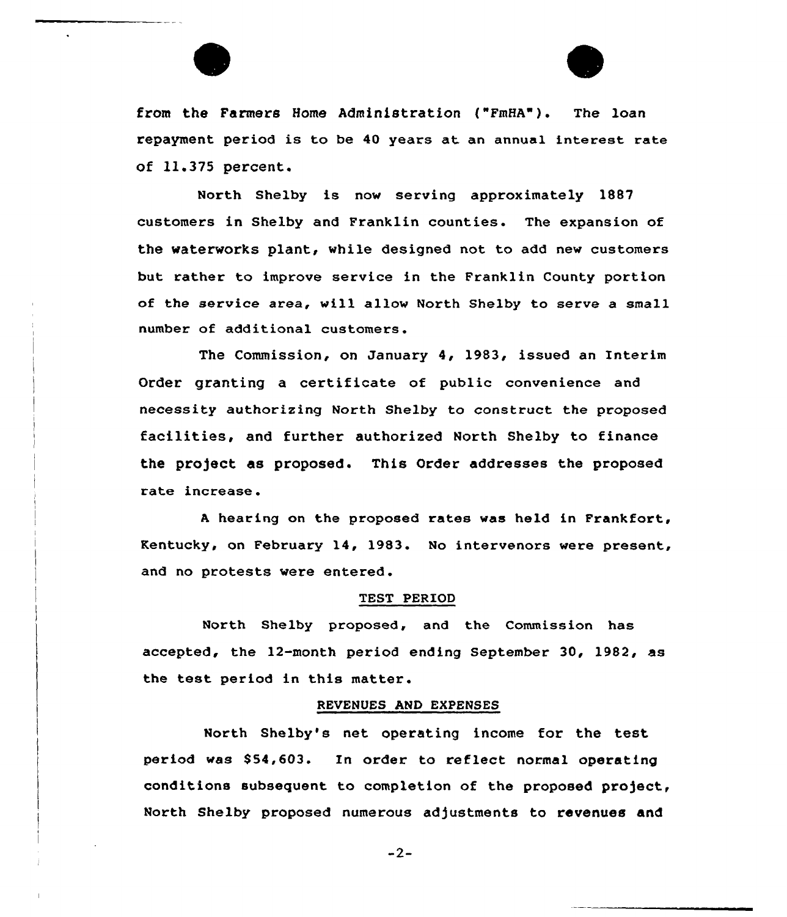

from the Farmers Home Administration ("FmHA"). The loan repayment period is to be 40 years at an annual interest rate of 11.375 percent.

North Shelby is now serving approximately 1887 customers in Shelby and Franklin counties. The expansion of the waterworks plant, while designed not to add new customers but rather to improve service in the Pranklin County portion of the service area, will allow North Shelby to serve a small number of additional customers.

The Commission, on January 4, 1983, issued an Interim Order granting a certificate of public convenience and necessity authorizing North Shelby to construct the proposed facilities, and further authorized North Shelby to finance the project as proposed. This Order addresses the proposed rate increase.

<sup>A</sup> hearing on the proposed rates was held in Frankfort, Kentucky, on February 14, 1983. No intervenors were present, and no protests vere entered.

#### TEST PERIOD

North Shelby proposed, and the Commission has accepted, the 12-month period ending September 30, 1982, as the test period in this matter.

### REVENUES AND EXPENSES

North Shelby's net operating income for the test period was \$54,603. In order to reflect normal operating conditions subsequent to completion of the proposed project, North Shelby proposed numerous adjustments to revenues and

 $-2-$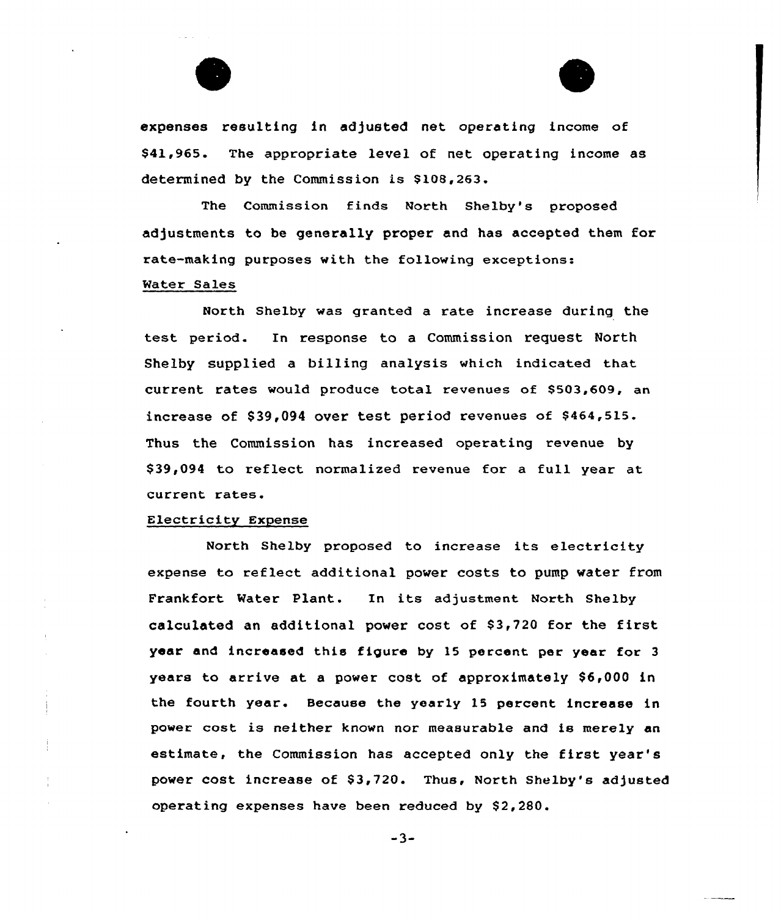



expenses resulting in adjusted net operating income of \$41,965. The appropriate level of net operating income as determined by the Commission is \$108,263.

The Commission finds North Shelby's proposed adjustments to be generally proper and has accepted them for rate-making purposes with the following exceptions: Water Sales

North Shelby was granted a rate increase during the test period. In response to <sup>a</sup> Commission request North Shelby supplied a billing analysis which indicated that current rates would produce total revenues of \$503,609, an increase of \$39,094 over test period revenues of \$464,515. Thus the Commission has increased operating revenue by \$39,094 to reflect normalized revenue for a full year at current rates.

### Electricity Expense

North Shelby proposed to increase its electricity expense to reflect additional power costs to pump water from Frankfort Water Plant. In its adjustment North Shelby calculated an additional power cost of 83,720 for the first year and increased this figure by 15 percent per year for <sup>3</sup> years to arrive at a power cost of approximately \$6,000 in the fourth year. Because the year1y 15 percent increase in power cost is neither known nor measurable and is merely an estimate, the Commission has accepted only the first year's power cost increase of \$3,720. Thus, North Shelby's adjusted operating expenses have been reduced by \$2,280.

 $-3-$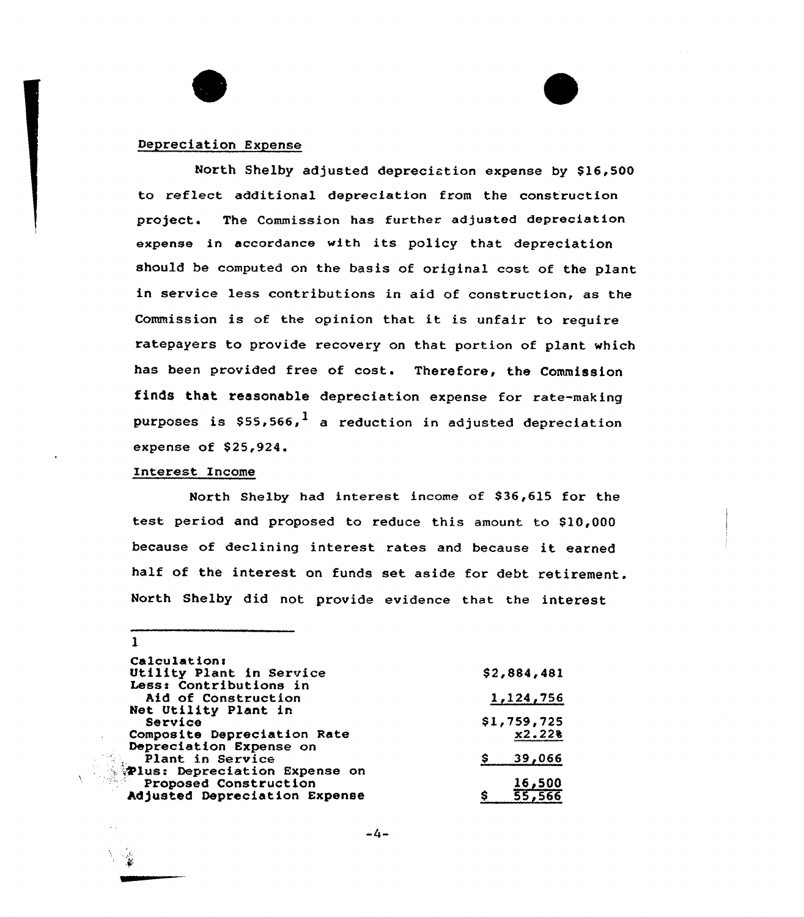# Depreciation Expense

North Shelby adjusted depreciation expense by \$16,500 to reflect additional depreciation from the construction project. The Commission has further adjusted depreciation expense in accordance with its policy that depreciation should be computed on the basis of original cost of the plant in service less contributions in aid of construction, as the Commission is of the opinion that it is unfair to require ratepayers to provide recovery on that portion of plant which has been provided free of cost. Therefore, the Commission finds that reasonable depreciation expense for rate-making purposes is  $$55,566$ ,<sup>1</sup> a reduction in adjusted depreciation expense of \$25,924.

# Interest Income

1

North Shelby had interest income of \$36,615 for the test period and proposed to reduce this amount to \$10,000 because of declining interest rates and because it earned half of the interest on funds set aside for debt retirement. North Shelby did not provide evidence that the interest

| <b>Calculation:</b>           |             |
|-------------------------------|-------------|
| Utility Plant in Service      | \$2,884,481 |
| Less: Contributions in        |             |
| Aid of Construction           | 1,124,756   |
| Net Utility Plant in          |             |
| Service                       | \$1,759,725 |
| Composite Depreciation Rate   | x2.228      |
| Depreciation Expense on       |             |
| Plant in Service              | 39,066      |
| Plus: Depreciation Expense on |             |
| Proposed Construction         | 16,500      |
| Adjusted Depreciation Expense | 55,566      |
|                               |             |

 $-4-$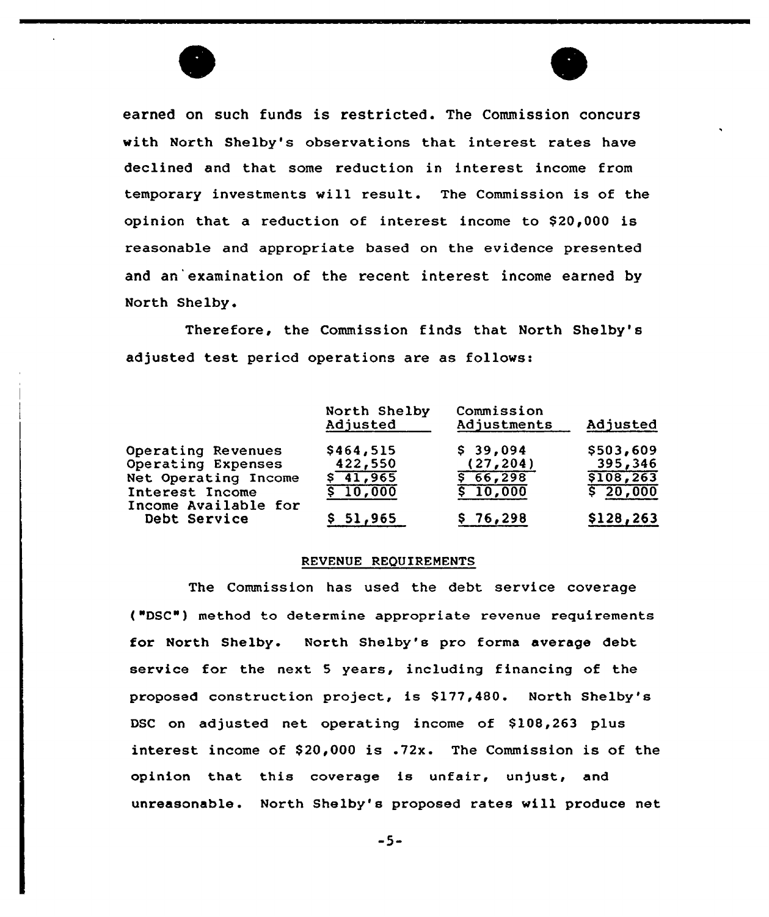



earned on such funds is restricted. The Commission concurs with North Shelby's observations that interest rates have declined and that some reduction in interest income from temporary investments will result. The Commission is of the opinion that a reduction of interest income to \$20,000 is reasonable and appropriate based on the evidence presented and an'examination of the recent interest income earned by North Shelby.

Therefore, the Commission finds that North Shelby's adjusted test period operations are as follows:

|                                         | North Shelby<br>Adjusted | Commission<br>Adjustments | Adjusted   |
|-----------------------------------------|--------------------------|---------------------------|------------|
| Operating Revenues                      | \$464,515                | \$39,094                  | \$503,609  |
| Operating Expenses                      | 422,550                  | (27, 204)                 | 395,346    |
| Net Operating Income                    | $\sqrt{41,965}$          | 56,298                    | \$108, 263 |
| Interest Income<br>Income Available for | \$10,000                 | \$10,000                  | \$ 20,000  |
| Debt Service                            | \$51,965                 | \$76,298                  | \$128,263  |

### REVENUE REQUIREMENTS

The Commission has used the debt sexvice covexage ("DSC"} method to determine appropriate revenue requirements for North Shelby. North Shelby's pro forma average debt service for the next 5 years, including financing of the proposed construction project, is \$177,480. North Shelby's DSC on adjusted net operating income of \$108,263 plus interest income of  $$20,000$  is .72x. The Commission is of the opinion that this coverage is unfair, unjust, and unreasonable. North Shelby's proposed rates will produce net

-5-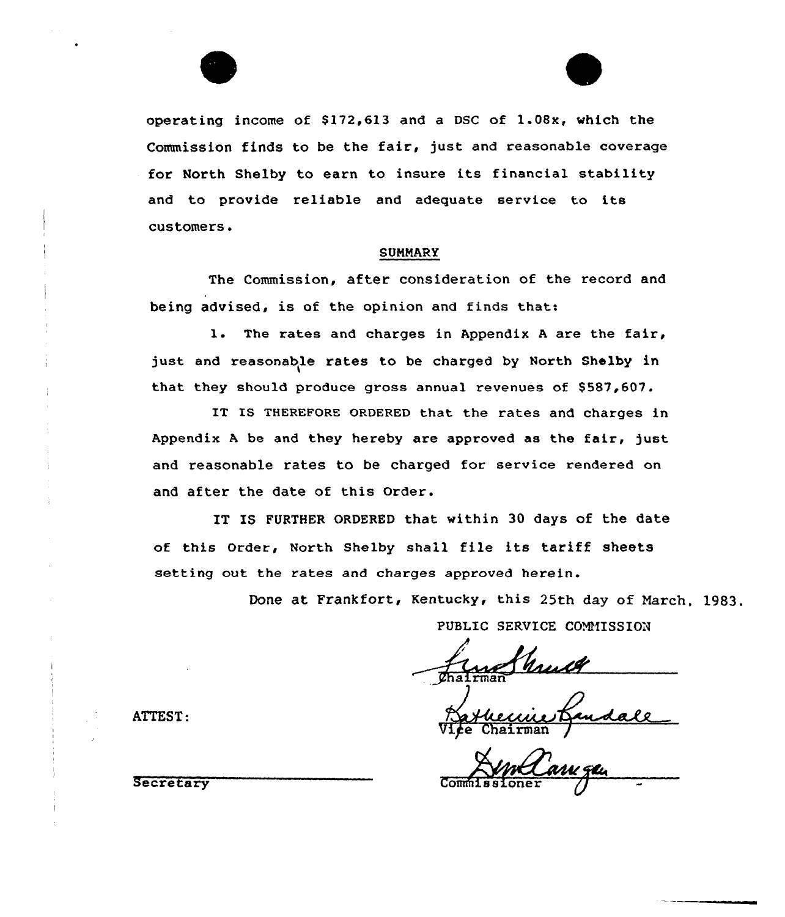

operating income of  $$172,613$  and a DSC of  $1.08x$ , which the Commission finds to be the fair, just and reasonable coverage for North Shelby to earn to insure its financial stability and to provide reliable and adequate service to its customers.

# SUMMARy

The Commission, after consideration of the record and being advised, is of the opinion and finds that:

1. The rates and charges in Appendix <sup>A</sup> are the fair, just and reasonable rates to be charged by North Shelby in that they should produce gross annual revenues of \$587,607.

IT IS THEREFORE ORDERED that the rates and charges in Appendix A be and they hereby are approved as the fair, just and reasonable rates to be charged for service rendered on and after the date of this Order.

IT IS FURTHER ORDERED that within 30 days of the date of this Order, North Shelby shall file its tariff sheets setting out the rates and charges approved herein.

> Done at Frankfort, Kentucky< this 25th day of March, 1983, PUBLIC SERVICE COMMISSION

Vice Chairman

Secretary Commissioner George

ATTEST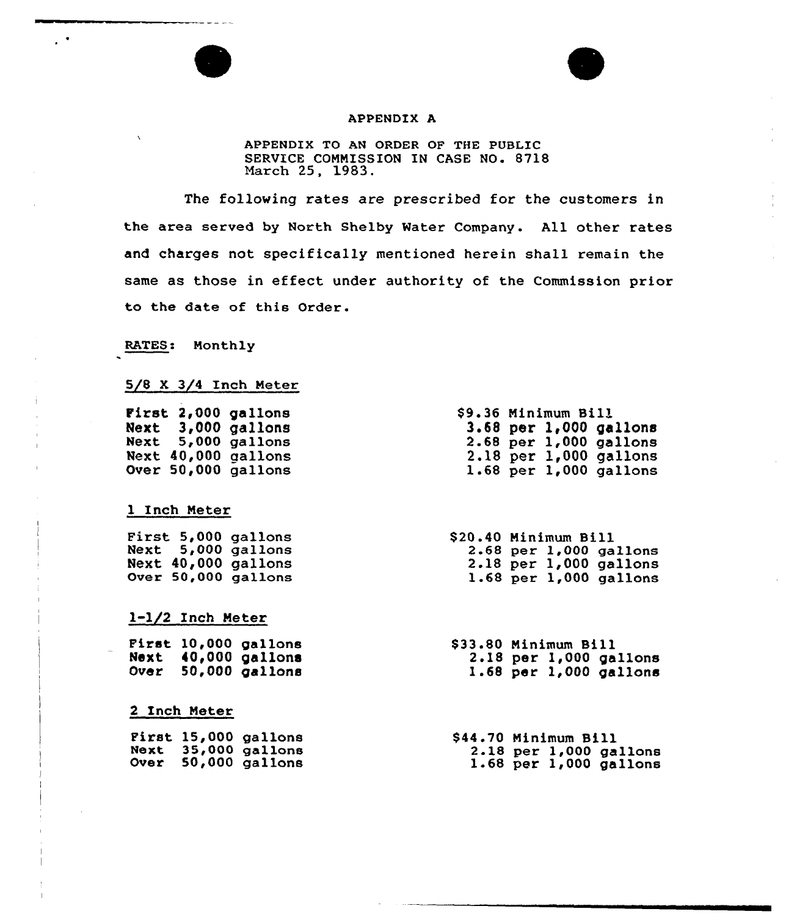#### APPENDIX A

APPENDIX TO AN ORDER OF THE PUBLIC SERUICE COMMISSION IN CASE NO. 8718 March 25, 1983.

The following rates are prescribed for the customers in the area served by North Shelby Water Company. All other rates and charges not specifically mentioned herein shall remain the same as those in effect under authority of the Commission prior to the date of this Order.

RATES: Monthly

 $\bar{ }$ 

 $\mathbf{r}$ 

# 5/8 X 3/4 Inch Meter

| First 2,000 gallons<br>Next 3,000 gallons<br>Next 5,000 gallons<br><b>Next 40,000 gallons</b><br><b>Over 50,000 gallons</b> | \$9.36 Minimum Bill<br>3.68 per 1,000 gallon<br>$2.68$ per $1,000$ gallon:<br>2.18 per 1,000 gallon<br>$1.68$ per $1,000$ gallon |
|-----------------------------------------------------------------------------------------------------------------------------|----------------------------------------------------------------------------------------------------------------------------------|
| 1 Inch Meter                                                                                                                |                                                                                                                                  |
| First 5,000 gallons                                                                                                         | \$20.40 Minimum Bill                                                                                                             |
| Next 5,000 gallons                                                                                                          | 2.68 per 1,000 gallon                                                                                                            |
| Next 40,000 gallons                                                                                                         | $2.18$ per $1,000$ gallon                                                                                                        |
| Over 50,000 gallons                                                                                                         | 1.68 per $1,000$ gallon                                                                                                          |
|                                                                                                                             |                                                                                                                                  |

l-l/2 Inch Meter

First 10,000 gallons Next 40,000 gallons Over 50,000 gallons \$ 33.80 Minimum Bill 2.18 per 1,000 gallons 1.68 per 1,000 gallons

### 2 Inch Meter

|  | <b>First 15,000 gallons</b> | \$44.70 Minimum Bill |  |                            |
|--|-----------------------------|----------------------|--|----------------------------|
|  | <b>Next 35,000 gallons</b>  |                      |  | $2.18$ per 1,000 gallons   |
|  | <b>Over 50,000 gallons</b>  |                      |  | $1.68$ per $1,000$ gallons |